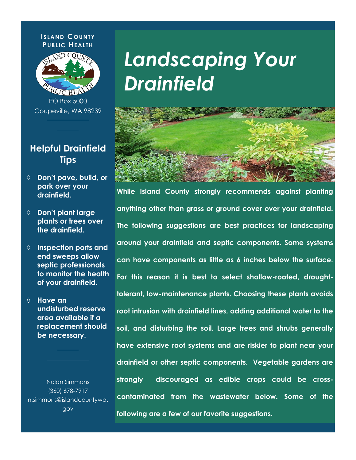#### **I SLAND C OUNTY PUBLIC HEALTH**



PO Box 5000 Coupeville, WA 98239

### **Helpful Drainfield Tips**

- **Don't pave, build, or park over your drainfield.**
- **Don't plant large plants or trees over the drainfield.**
- **Inspection ports and end sweeps allow septic professionals to monitor the health of your drainfield.**
- **Have an undisturbed reserve area available if a replacement should be necessary.**

Nolan Simmons (360) 678-7917 n.simmons@islandcountywa. gov

*Landscaping Your Drainfield*



**While Island County strongly recommends against planting anything other than grass or ground cover over your drainfield. The following suggestions are best practices for landscaping around your drainfield and septic components. Some systems can have components as little as 6 inches below the surface. For this reason it is best to select shallow-rooted, droughttolerant, low-maintenance plants. Choosing these plants avoids root intrusion with drainfield lines, adding additional water to the soil, and disturbing the soil. Large trees and shrubs generally have extensive root systems and are riskier to plant near your drainfield or other septic components. Vegetable gardens are strongly discouraged as edible crops could be crosscontaminated from the wastewater below. Some of the following are a few of our favorite suggestions.**